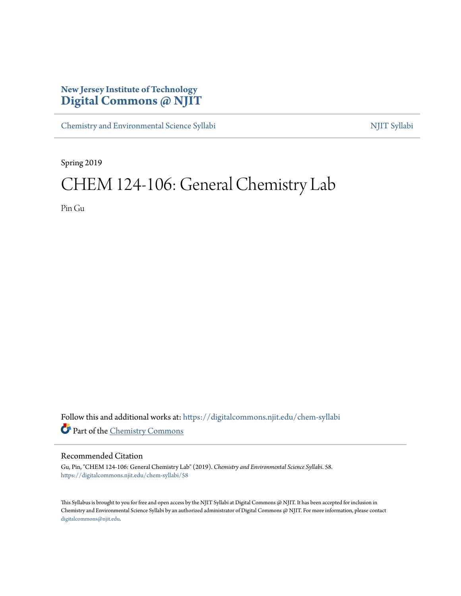# **New Jersey Institute of Technology [Digital Commons @ NJIT](https://digitalcommons.njit.edu?utm_source=digitalcommons.njit.edu%2Fchem-syllabi%2F58&utm_medium=PDF&utm_campaign=PDFCoverPages)**

[Chemistry and Environmental Science Syllabi](https://digitalcommons.njit.edu/chem-syllabi?utm_source=digitalcommons.njit.edu%2Fchem-syllabi%2F58&utm_medium=PDF&utm_campaign=PDFCoverPages) [NJIT Syllabi](https://digitalcommons.njit.edu/syllabi?utm_source=digitalcommons.njit.edu%2Fchem-syllabi%2F58&utm_medium=PDF&utm_campaign=PDFCoverPages)

Spring 2019

# CHEM 124-106: General Chemistry Lab

Pin Gu

Follow this and additional works at: [https://digitalcommons.njit.edu/chem-syllabi](https://digitalcommons.njit.edu/chem-syllabi?utm_source=digitalcommons.njit.edu%2Fchem-syllabi%2F58&utm_medium=PDF&utm_campaign=PDFCoverPages) Part of the [Chemistry Commons](http://network.bepress.com/hgg/discipline/131?utm_source=digitalcommons.njit.edu%2Fchem-syllabi%2F58&utm_medium=PDF&utm_campaign=PDFCoverPages)

# Recommended Citation

Gu, Pin, "CHEM 124-106: General Chemistry Lab" (2019). *Chemistry and Environmental Science Syllabi*. 58. [https://digitalcommons.njit.edu/chem-syllabi/58](https://digitalcommons.njit.edu/chem-syllabi/58?utm_source=digitalcommons.njit.edu%2Fchem-syllabi%2F58&utm_medium=PDF&utm_campaign=PDFCoverPages)

This Syllabus is brought to you for free and open access by the NJIT Syllabi at Digital Commons @ NJIT. It has been accepted for inclusion in Chemistry and Environmental Science Syllabi by an authorized administrator of Digital Commons @ NJIT. For more information, please contact [digitalcommons@njit.edu](mailto:digitalcommons@njit.edu).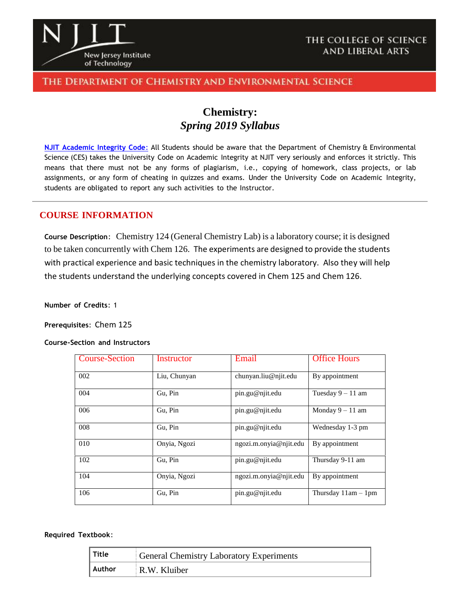

# THE COLLEGE OF SCIENCE AND LIBERAL ARTS

# THE DEPARTMENT OF CHEMISTRY AND ENVIRONMENTAL SCIENCE

# **Chemistry:** *Spring 2019 Syllabus*

**NJIT [Academic](https://www.njit.edu/policies/sites/policies/files/academic-integrity-code.pdf) Integrity Code**: All Students should be aware that the Department of Chemistry & Environmental Science (CES) takes the University Code on Academic Integrity at NJIT very seriously and enforces it strictly. This means that there must not be any forms of plagiarism, i.e., copying of homework, class projects, or lab assignments, or any form of cheating in quizzes and exams. Under the University Code on Academic Integrity, students are obligated to report any such activities to the Instructor.

# **COURSE INFORMATION**

**Course Description**: Chemistry 124 (General Chemistry Lab) is a laboratory course; it is designed to be taken concurrently with Chem 126. The experiments are designed to provide the students with practical experience and basic techniques in the chemistry laboratory. Also they will help the students understand the underlying concepts covered in Chem 125 and Chem 126.

**Number of Credits**: 1

**Prerequisites**: Chem 125

#### **Course-Section and Instructors**

| <b>Course-Section</b> | Instructor   | Email                  | <b>Office Hours</b>   |
|-----------------------|--------------|------------------------|-----------------------|
| 002                   | Liu, Chunyan | chunyan.liu@njit.edu   | By appointment        |
| 004                   | Gu, Pin      | pin.gu@njit.edu        | Tuesday $9 - 11$ am   |
| 006                   | Gu, Pin      | pin.gu@njit.edu        | Monday $9 - 11$ am    |
| 008                   | Gu, Pin      | pin.gu@njit.edu        | Wednesday 1-3 pm      |
| 010                   | Onyia, Ngozi | ngozi.m.onyia@njit.edu | By appointment        |
| 102                   | Gu, Pin      | pin.gu@njit.edu        | Thursday 9-11 am      |
| 104                   | Onyia, Ngozi | ngozi.m.onyia@njit.edu | By appointment        |
| 106                   | Gu, Pin      | pin.gu@njit.edu        | Thursday $11am - 1pm$ |

**Required Textbook**:

| $\parallel$ Title | General Chemistry Laboratory Experiments |
|-------------------|------------------------------------------|
| Author            | R.W. Kluiber                             |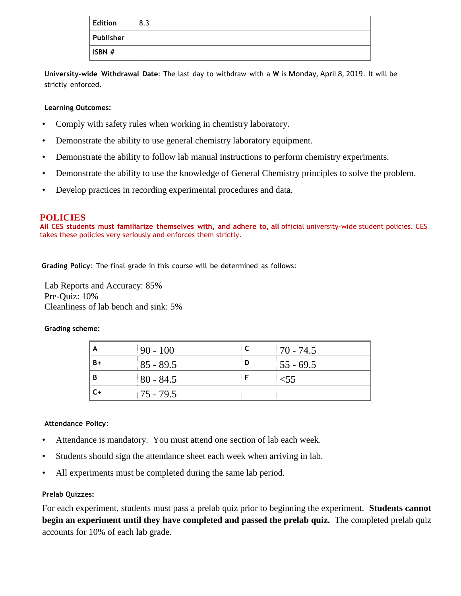| Edition   | 8.3 |
|-----------|-----|
| Publisher |     |
| ISBN #    |     |

**University-wide Withdrawal Date**: The last day to withdraw with a **W** is Monday, April 8, 2019. It will be strictly enforced.

# **Learning Outcomes:**

- Comply with safety rules when working in chemistry laboratory.
- Demonstrate the ability to use general chemistry laboratory equipment.
- Demonstrate the ability to follow lab manual instructions to perform chemistry experiments.
- Demonstrate the ability to use the knowledge of General Chemistry principles to solve the problem.
- Develop practices in recording experimental procedures and data.

# **POLICIES**

**All CES students must familiarize themselves with, and adhere to, all** official university-wide student policies. CES takes these policies very seriously and enforces them strictly.

 **Grading Policy**: The final grade in this course will be determined as follows:

Lab Reports and Accuracy: 85% Pre-Quiz: 10% Cleanliness of lab bench and sink: 5%

#### **Grading scheme:**

| A    | $90 - 100$  |   | $170 - 74.5$ |
|------|-------------|---|--------------|
| $B+$ | $85 - 89.5$ | D | $155 - 69.5$ |
| B    | $80 - 84.5$ |   | $<$ 55       |
| C+   | $75 - 79.5$ |   |              |

#### **Attendance Policy**:

- Attendance is mandatory. You must attend one section of lab each week.
- Students should sign the attendance sheet each week when arriving in lab.
- All experiments must be completed during the same lab period.

#### **Prelab Quizzes:**

For each experiment, students must pass a prelab quiz prior to beginning the experiment. **Students cannot begin an experiment until they have completed and passed the prelab quiz.** The completed prelab quiz accounts for 10% of each lab grade.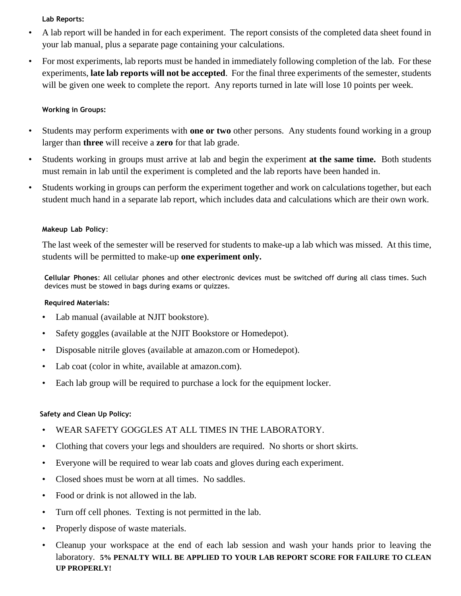# **Lab Reports:**

- A lab report will be handed in for each experiment. The report consists of the completed data sheet found in your lab manual, plus a separate page containing your calculations.
- For most experiments, lab reports must be handed in immediately following completion of the lab. For these experiments, **late lab reports will not be accepted**. For the final three experiments of the semester, students will be given one week to complete the report. Any reports turned in late will lose 10 points per week.

# **Working in Groups:**

- Students may perform experiments with **one or two** other persons. Any students found working in a group larger than **three** will receive a **zero** for that lab grade.
- Students working in groups must arrive at lab and begin the experiment **at the same time.** Both students must remain in lab until the experiment is completed and the lab reports have been handed in.
- Students working in groups can perform the experiment together and work on calculations together, but each student much hand in a separate lab report, which includes data and calculations which are their own work.

# **Makeup Lab Policy**:

The last week of the semester will be reserved for students to make-up a lab which was missed. At this time, students will be permitted to make-up **one experiment only.**

**Cellular Phones**: All cellular phones and other electronic devices must be switched off during all class times. Such devices must be stowed in bags during exams or quizzes.

# **Required Materials:**

- Lab manual (available at NJIT bookstore).
- Safety goggles (available at the NJIT Bookstore or Homedepot).
- Disposable nitrile gloves (available at amazon.com or Homedepot).
- Lab coat (color in white, available at amazon.com).
- Each lab group will be required to purchase a lock for the equipment locker.

# **Safety and Clean Up Policy:**

- WEAR SAFETY GOGGLES AT ALL TIMES IN THE LABORATORY.
- Clothing that covers your legs and shoulders are required. No shorts or short skirts.
- Everyone will be required to wear lab coats and gloves during each experiment.
- Closed shoes must be worn at all times. No saddles.
- Food or drink is not allowed in the lab.
- Turn off cell phones. Texting is not permitted in the lab.
- Properly dispose of waste materials.
- Cleanup your workspace at the end of each lab session and wash your hands prior to leaving the laboratory. **5% PENALTY WILL BE APPLIED TO YOUR LAB REPORT SCORE FOR FAILURE TO CLEAN UP PROPERLY!**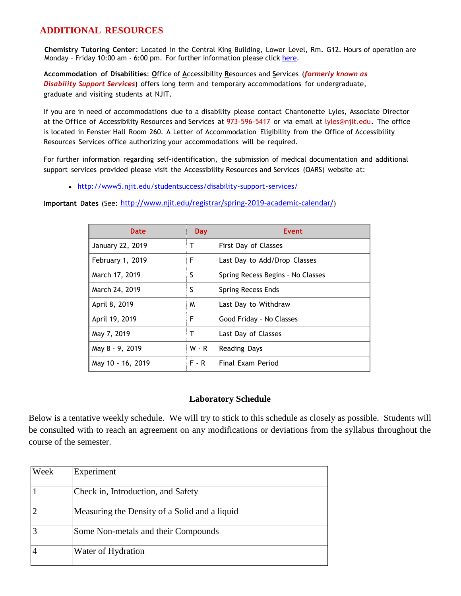# **ADDITIONAL RESOURCES**

**Chemistry Tutoring Center**: Located in the Central King Building, Lower Level, Rm. G12. Hours of operation are Monday - Friday 10:00 am - 6:00 pm. For further information please click [here.](http://chemistry.njit.edu/students/)

**Accommodation of Disabilities**: **O**ffice of **A**ccessibility **R**esources and **S**ervices (*formerly known as Disability Support Services*) offers long term and temporary accommodations for undergraduate, graduate and visiting students at NJIT.

If you are in need of accommodations due to a disability please contact Chantonette Lyles, Associate Director at the Office of Accessibility Resources and Services at 973-596-5417 or via email at [lyles@njit.edu.](mailto:lyles@njit.edu) The office is located in Fenster Hall Room 260. A Letter of Accommodation Eligibility from the Office of Accessibility Resources Services office authorizing your accommodations will be required.

For further information regarding self-identification, the submission of medical documentation and additional support services provided please visit the Accessibility Resources and Services (OARS) website at:

[http://www5.njit.edu/studentsuccess/disability-support-services/](http://www.njit.edu/studentsuccess/accessibility/)

**Important Dates** (See: <http://www.njit.edu/registrar/spring-2019-academic-calendar/>)

| Date              | Day     | Event                             |
|-------------------|---------|-----------------------------------|
| January 22, 2019  | т       | First Day of Classes              |
| February 1, 2019  | F       | Last Day to Add/Drop Classes      |
| March 17, 2019    | S       | Spring Recess Begins - No Classes |
| March 24, 2019    | S       | Spring Recess Ends                |
| April 8, 2019     | M       | Last Day to Withdraw              |
| April 19, 2019    | F       | Good Friday - No Classes          |
| May 7, 2019       | т       | Last Day of Classes               |
| May 8 - 9, 2019   | W - R   | <b>Reading Days</b>               |
| May 10 - 16, 2019 | $F - R$ | Final Exam Period                 |

# **Laboratory Schedule**

Below is a tentative weekly schedule. We will try to stick to this schedule as closely as possible. Students will be consulted with to reach an agreement on any modifications or deviations from the syllabus throughout the course of the semester.

| Week | Experiment                                    |
|------|-----------------------------------------------|
|      | Check in, Introduction, and Safety            |
|      | Measuring the Density of a Solid and a liquid |
|      | Some Non-metals and their Compounds           |
|      | Water of Hydration                            |